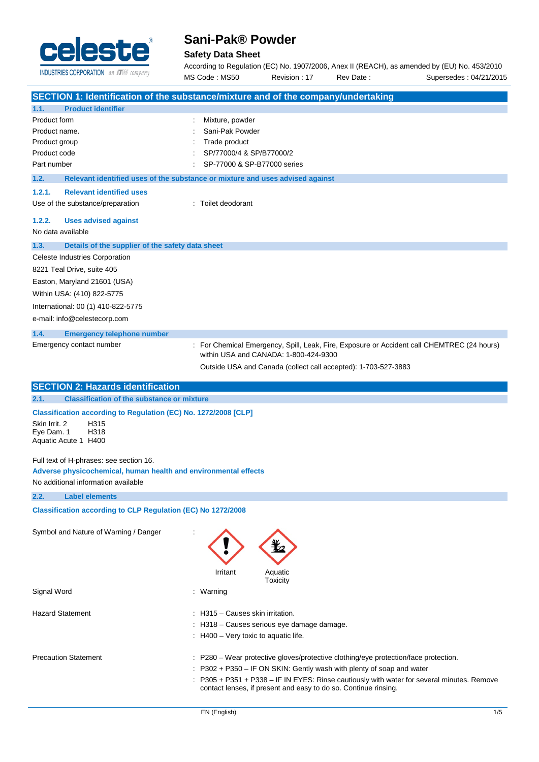

# **Sani-Pak® Powder**

# **Safety Data Sheet**

According to Regulation (EC) No. 1907/2006, Anex II (REACH), as amended by (EU) No. 453/2010 MS Code : MS50 Revision : 17 Rev Date : Supersedes : 04/21/2015

|                                                                     | SECTION 1: Identification of the substance/mixture and of the company/undertaking          |
|---------------------------------------------------------------------|--------------------------------------------------------------------------------------------|
| 1.1.<br><b>Product identifier</b>                                   |                                                                                            |
| Product form                                                        | Mixture, powder                                                                            |
| Product name.                                                       | Sani-Pak Powder                                                                            |
| Product group                                                       | Trade product                                                                              |
| Product code                                                        | SP/77000/4 & SP/B77000/2                                                                   |
| Part number                                                         | SP-77000 & SP-B77000 series                                                                |
| 1.2.                                                                | Relevant identified uses of the substance or mixture and uses advised against              |
| <b>Relevant identified uses</b><br>1.2.1.                           |                                                                                            |
| Use of the substance/preparation                                    | : Toilet deodorant                                                                         |
| 1.2.2.<br><b>Uses advised against</b>                               |                                                                                            |
| No data available                                                   |                                                                                            |
| 1.3.<br>Details of the supplier of the safety data sheet            |                                                                                            |
| Celeste Industries Corporation                                      |                                                                                            |
| 8221 Teal Drive, suite 405                                          |                                                                                            |
| Easton, Maryland 21601 (USA)                                        |                                                                                            |
| Within USA: (410) 822-5775                                          |                                                                                            |
| International: 00 (1) 410-822-5775                                  |                                                                                            |
| e-mail: info@celestecorp.com                                        |                                                                                            |
| 1.4.<br><b>Emergency telephone number</b>                           |                                                                                            |
| Emergency contact number                                            | : For Chemical Emergency, Spill, Leak, Fire, Exposure or Accident call CHEMTREC (24 hours) |
|                                                                     | within USA and CANADA: 1-800-424-9300                                                      |
|                                                                     | Outside USA and Canada (collect call accepted): 1-703-527-3883                             |
| <b>SECTION 2: Hazards identification</b>                            |                                                                                            |
| 2.1.<br><b>Classification of the substance or mixture</b>           |                                                                                            |
| Classification according to Regulation (EC) No. 1272/2008 [CLP]     |                                                                                            |
| H315<br>Skin Irrit. 2                                               |                                                                                            |
| H318<br>Eye Dam. 1<br>Aquatic Acute 1 H400                          |                                                                                            |
|                                                                     |                                                                                            |
| Full text of H-phrases: see section 16.                             |                                                                                            |
| Adverse physicochemical, human health and environmental effects     |                                                                                            |
| No additional information available                                 |                                                                                            |
| 2.2.<br><b>Label elements</b>                                       |                                                                                            |
| <b>Classification according to CLP Regulation (EC) No 1272/2008</b> |                                                                                            |
| Symbol and Nature of Warning / Danger                               |                                                                                            |
|                                                                     |                                                                                            |
|                                                                     |                                                                                            |
|                                                                     |                                                                                            |
|                                                                     | Irritant<br>Aquatic<br>Toxicity                                                            |
| Signal Word                                                         | : Warning                                                                                  |
|                                                                     |                                                                                            |
| <b>Hazard Statement</b>                                             | : H315 - Causes skin irritation.                                                           |
|                                                                     | : H318 - Causes serious eye damage damage.                                                 |
|                                                                     | $\therefore$ H400 – Very toxic to aquatic life.                                            |
| <b>Precaution Statement</b>                                         | : P280 – Wear protective gloves/protective clothing/eye protection/face protection.        |
|                                                                     | $\therefore$ P302 + P350 – IF ON SKIN: Gently wash with plenty of soap and water           |
|                                                                     | : P305 + P351 + P338 - IF IN EYES: Rinse cautiously with water for several minutes. Remove |
|                                                                     | contact lenses, if present and easy to do so. Continue rinsing.                            |
|                                                                     |                                                                                            |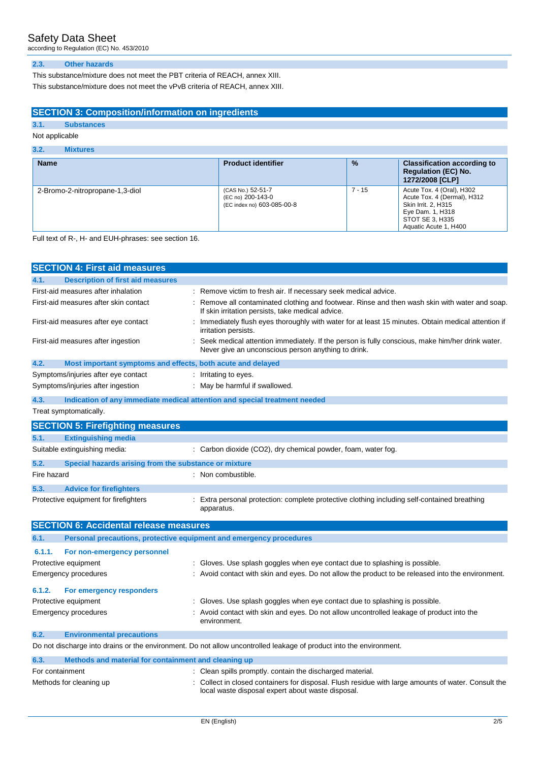according to Regulation (EC) No. 453/2010

#### **2.3. Other hazards**

This substance/mixture does not meet the PBT criteria of REACH, annex XIII. This substance/mixture does not meet the vPvB criteria of REACH, annex XIII.

# **SECTION 3: Composition/information on ingredients**

# **3.1. Substances**

# Not applicable

| <b>Name</b>                     | <b>Product identifier</b>                                            | $\frac{9}{6}$ | <b>Classification according to</b><br><b>Regulation (EC) No.</b><br>1272/2008 [CLP]                                                             |
|---------------------------------|----------------------------------------------------------------------|---------------|-------------------------------------------------------------------------------------------------------------------------------------------------|
| 2-Bromo-2-nitropropane-1,3-diol | (CAS No.) 52-51-7<br>(EC no) 200-143-0<br>(EC index no) 603-085-00-8 | $7 - 15$      | Acute Tox. 4 (Oral), H302<br>Acute Tox. 4 (Dermal), H312<br>Skin Irrit. 2. H315<br>Eye Dam. 1, H318<br>STOT SE 3, H335<br>Aquatic Acute 1, H400 |

#### Full text of R-, H- and EUH-phrases: see section 16.

|                 | <b>SECTION 4: First aid measures</b>                                |                                                                                                                                                        |
|-----------------|---------------------------------------------------------------------|--------------------------------------------------------------------------------------------------------------------------------------------------------|
| 4.1.            | <b>Description of first aid measures</b>                            |                                                                                                                                                        |
|                 | First-aid measures after inhalation                                 | : Remove victim to fresh air. If necessary seek medical advice.                                                                                        |
|                 | First-aid measures after skin contact                               | : Remove all contaminated clothing and footwear. Rinse and then wash skin with water and soap.<br>If skin irritation persists, take medical advice.    |
|                 | First-aid measures after eye contact                                | : Immediately flush eyes thoroughly with water for at least 15 minutes. Obtain medical attention if<br>irritation persists.                            |
|                 | First-aid measures after ingestion                                  | Seek medical attention immediately. If the person is fully conscious, make him/her drink water.<br>Never give an unconscious person anything to drink. |
| 4.2.            | Most important symptoms and effects, both acute and delayed         |                                                                                                                                                        |
|                 | Symptoms/injuries after eye contact                                 | : Irritating to eyes.                                                                                                                                  |
|                 | Symptoms/injuries after ingestion                                   | : May be harmful if swallowed.                                                                                                                         |
| 4.3.            |                                                                     | Indication of any immediate medical attention and special treatment needed                                                                             |
|                 | Treat symptomatically.                                              |                                                                                                                                                        |
|                 | <b>SECTION 5: Firefighting measures</b>                             |                                                                                                                                                        |
| 5.1.            | <b>Extinguishing media</b>                                          |                                                                                                                                                        |
|                 | Suitable extinguishing media:                                       | : Carbon dioxide (CO2), dry chemical powder, foam, water fog.                                                                                          |
| 5.2.            | Special hazards arising from the substance or mixture               |                                                                                                                                                        |
| Fire hazard     |                                                                     | : Non combustible.                                                                                                                                     |
| 5.3.            | <b>Advice for firefighters</b>                                      |                                                                                                                                                        |
|                 | Protective equipment for firefighters                               | Extra personal protection: complete protective clothing including self-contained breathing<br>apparatus.                                               |
|                 | <b>SECTION 6: Accidental release measures</b>                       |                                                                                                                                                        |
| 6.1.            | Personal precautions, protective equipment and emergency procedures |                                                                                                                                                        |
| 6.1.1.          | For non-emergency personnel                                         |                                                                                                                                                        |
|                 | Protective equipment                                                | Gloves. Use splash goggles when eye contact due to splashing is possible.                                                                              |
|                 | Emergency procedures                                                | Avoid contact with skin and eyes. Do not allow the product to be released into the environment.                                                        |
| 6.1.2.          | For emergency responders                                            |                                                                                                                                                        |
|                 | Protective equipment                                                | Gloves. Use splash goggles when eye contact due to splashing is possible.                                                                              |
|                 | Emergency procedures                                                | Avoid contact with skin and eyes. Do not allow uncontrolled leakage of product into the<br>environment.                                                |
| 6.2.            | <b>Environmental precautions</b>                                    |                                                                                                                                                        |
|                 |                                                                     | Do not discharge into drains or the environment. Do not allow uncontrolled leakage of product into the environment.                                    |
| 6.3.            | Methods and material for containment and cleaning up                |                                                                                                                                                        |
| For containment |                                                                     | Clean spills promptly. contain the discharged material.                                                                                                |
|                 | Methods for cleaning up                                             | Collect in closed containers for disposal. Flush residue with large amounts of water. Consult the<br>local waste disposal expert about waste disposal. |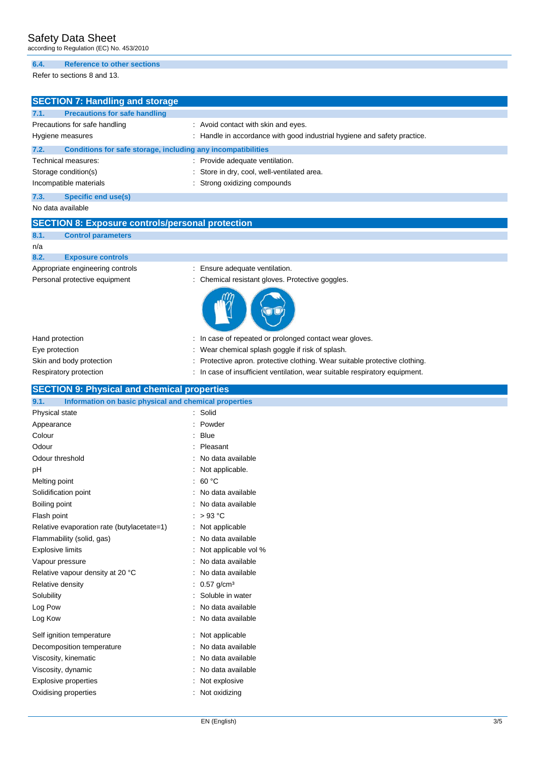according to Regulation (EC) No. 453/2010

#### **6.4. Reference to other sections**

Refer to sections 8 and 13.

|      | <b>SECTION 7: Handling and storage</b>                       |                                                                          |
|------|--------------------------------------------------------------|--------------------------------------------------------------------------|
| 7.1. | <b>Precautions for safe handling</b>                         |                                                                          |
|      | Precautions for safe handling                                | : Avoid contact with skin and eyes.                                      |
|      | Hygiene measures                                             | : Handle in accordance with good industrial hygiene and safety practice. |
| 7.2. | Conditions for safe storage, including any incompatibilities |                                                                          |
|      | Technical measures:                                          | : Provide adequate ventilation.                                          |
|      | Storage condition(s)                                         | : Store in dry, cool, well-ventilated area.                              |
|      | Incompatible materials                                       | : Strong oxidizing compounds                                             |
| 7.3. | Specific end use(s)                                          |                                                                          |

No data available

|          |  |  |  | <b>SECTION 8: Exposure controls/personal protection</b> |  |
|----------|--|--|--|---------------------------------------------------------|--|
|          |  |  |  |                                                         |  |
| ________ |  |  |  |                                                         |  |

**8.1. Control parameters**

## n/a

### **8.2. Exposure controls**

- Appropriate engineering controls : Ensure adequate ventilation.
- Personal protective equipment : Chemical resistant gloves. Protective goggles.



| Hand protection          | : In case of repeated or prolonged contact wear gloves.                     |
|--------------------------|-----------------------------------------------------------------------------|
| Eye protection           | : Wear chemical splash goggle if risk of splash.                            |
| Skin and body protection | : Protective apron. protective clothing. Wear suitable protective clothing. |
| Respiratory protection   | : In case of insufficient ventilation, wear suitable respiratory equipment. |

| <b>SECTION 9: Physical and chemical properties</b> |  |
|----------------------------------------------------|--|
|                                                    |  |
|                                                    |  |
|                                                    |  |

| 9.1.<br>Information on basic physical and chemical properties |                          |
|---------------------------------------------------------------|--------------------------|
| Physical state                                                | : Solid                  |
| Appearance                                                    | : Powder                 |
| Colour                                                        | $:$ Blue                 |
| Odour                                                         | Pleasant                 |
| Odour threshold                                               | No data available        |
| pH                                                            | Not applicable.          |
| Melting point                                                 | : $60 °C$                |
| Solidification point                                          | No data available        |
| Boiling point                                                 | No data available        |
| Flash point                                                   | : $>93^{\circ}$ C        |
| Relative evaporation rate (butylacetate=1)                    | Not applicable           |
| Flammability (solid, gas)                                     | No data available        |
| <b>Explosive limits</b>                                       | Not applicable vol %     |
| Vapour pressure                                               | : No data available      |
| Relative vapour density at 20 °C                              | : No data available      |
| Relative density                                              | $0.57$ g/cm <sup>3</sup> |
| Solubility                                                    | Soluble in water         |
| Log Pow                                                       | No data available        |
| Log Kow                                                       | No data available        |
| Self ignition temperature                                     | : Not applicable         |
| Decomposition temperature                                     | No data available        |
| Viscosity, kinematic                                          | : No data available      |
| Viscosity, dynamic                                            | No data available        |
| <b>Explosive properties</b>                                   | Not explosive            |
| Oxidising properties                                          | Not oxidizing            |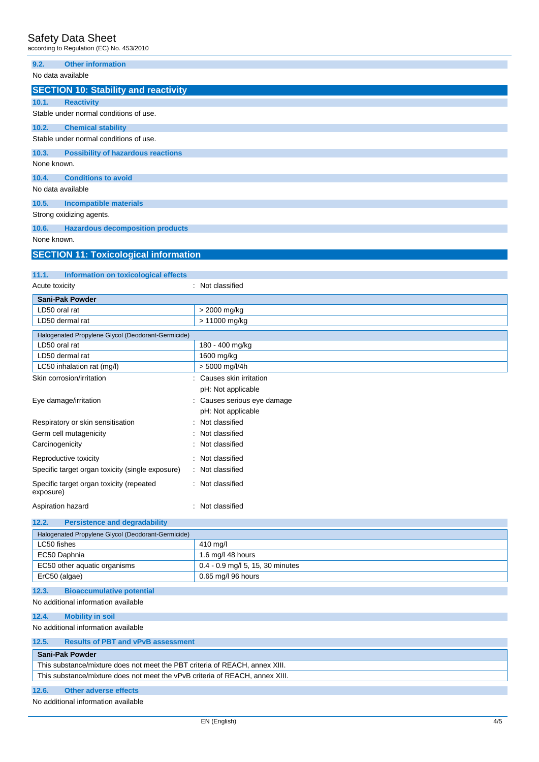| <b>Safety Data Sheet</b><br>according to Regulation (EC) No. 453/2010 |                                            |
|-----------------------------------------------------------------------|--------------------------------------------|
| 9.2.<br><b>Other information</b>                                      |                                            |
| No data available                                                     |                                            |
| <b>SECTION 10: Stability and reactivity</b>                           |                                            |
| 10.1.<br><b>Reactivity</b>                                            |                                            |
| Stable under normal conditions of use.                                |                                            |
| 10.2.<br><b>Chemical stability</b>                                    |                                            |
| Stable under normal conditions of use.                                |                                            |
| 10.3.<br><b>Possibility of hazardous reactions</b>                    |                                            |
| None known.                                                           |                                            |
| 10.4.<br><b>Conditions to avoid</b>                                   |                                            |
| No data available                                                     |                                            |
| 10.5.<br><b>Incompatible materials</b>                                |                                            |
| Strong oxidizing agents.                                              |                                            |
| 10.6.<br><b>Hazardous decomposition products</b>                      |                                            |
| None known.                                                           |                                            |
| <b>SECTION 11: Toxicological information</b>                          |                                            |
|                                                                       |                                            |
| 11.1.<br>Information on toxicological effects                         |                                            |
| Acute toxicity                                                        | : Not classified                           |
| <b>Sani-Pak Powder</b>                                                |                                            |
| LD50 oral rat                                                         | > 2000 mg/kg                               |
| LD50 dermal rat                                                       | > 11000 mg/kg                              |
| Halogenated Propylene Glycol (Deodorant-Germicide)                    |                                            |
| LD50 oral rat                                                         | 180 - 400 mg/kg                            |
| LD50 dermal rat                                                       | 1600 mg/kg                                 |
| LC50 inhalation rat (mg/l)<br>Skin corrosion/irritation               | > 5000 mg/l/4h<br>: Causes skin irritation |
|                                                                       | pH: Not applicable                         |
| Eye damage/irritation                                                 | : Causes serious eye damage                |
|                                                                       | pH: Not applicable                         |
| Respiratory or skin sensitisation                                     | Not classified                             |
| Germ cell mutagenicity                                                | Not classified                             |
| Carcinogenicity                                                       | : Not classified                           |
| Reproductive toxicity                                                 | : Not classified                           |
| Specific target organ toxicity (single exposure)                      | Not classified                             |
| Specific target organ toxicity (repeated<br>exposure)                 | : Not classified                           |
| Aspiration hazard                                                     | : Not classified                           |
| 12.2.<br><b>Persistence and degradability</b>                         |                                            |
| Halogenated Propylene Glycol (Deodorant-Germicide)                    |                                            |
| LC50 fishes                                                           | 410 mg/l                                   |

| $1.000$ go $1.000$ $1.000$ $1.000$ $1.000$ $1.000$ $1.000$ $1.000$ |                                  |
|--------------------------------------------------------------------|----------------------------------|
| LC50 fishes                                                        | 410 mg/l                         |
| EC50 Daphnia                                                       | 1.6 mg/l 48 hours                |
| EC50 other aquatic organisms                                       | 0.4 - 0.9 mg/l 5, 15, 30 minutes |
| ErC50 (algae)                                                      | 0.65 mg/l 96 hours               |
|                                                                    |                                  |

#### **12.3. Bioaccumulative potential** No additional information available

**12.4. Mobility in soil**

No additional information available

|--|

## **Sani-Pak Powder**

| This substance/mixture does not meet the PBT criteria of REACH, annex XIII.  |  |
|------------------------------------------------------------------------------|--|
| This substance/mixture does not meet the vPvB criteria of REACH, annex XIII. |  |
|                                                                              |  |

# **12.6. Other adverse effects**

No additional information available